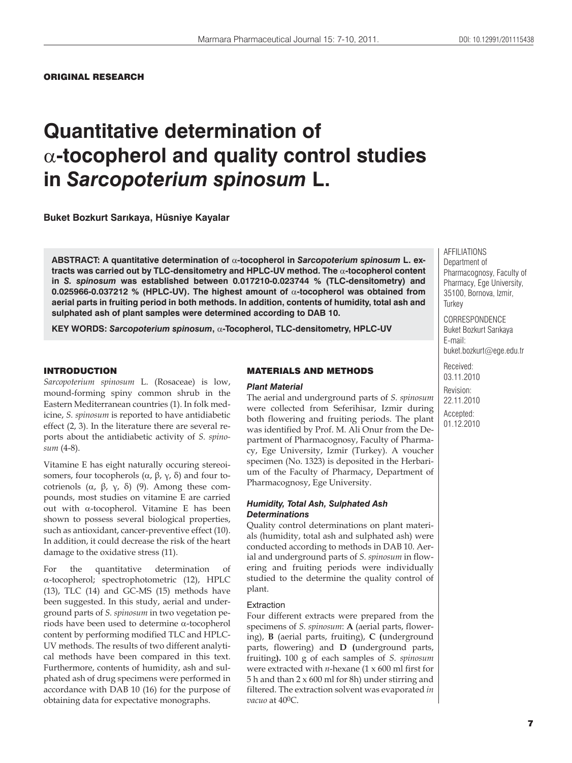ORIGINAL RESEARCH

# **Quantitative determination of**   $\alpha$ -tocopherol and quality control studies **in** *Sarcopoterium spinosum* **L.**

**Buket Bozkurt Sar×kaya, Hüsniye Kayalar**

ABSTRACT: A quantitative determination of  $\alpha$ -tocopherol in Sarcopoterium spinosum L. extracts was carried out by TLC-densitometry and HPLC-UV method. The  $\alpha$ -tocopherol content **in** *S. spinosum* **was established between 0.017210-0.023744 % (TLC-densitometry) and 0.025966-0.037212 % (HPLC-UV). The highest amount of α-tocopherol was obtained from aerial parts in fruiting period in both methods. In addition, contents of humidity, total ash and sulphated ash of plant samples were determined according to DAB 10.**

KEY WORDS: Sarcopoterium spinosum,  $\alpha$ -Tocopherol, TLC-densitometry, HPLC-UV

#### INTRODUCTION

*Sarcopoterium spinosum* L. (Rosaceae) is low, mound-forming spiny common shrub in the Eastern Mediterranean countries (1). In folk medicine, *S. spinosum* is reported to have antidiabetic effect (2, 3). In the literature there are several reports about the antidiabetic activity of *S. spinosum* (4-8).

Vitamine E has eight naturally occuring stereoisomers, four tocopherols  $(\alpha, \beta, \gamma, \delta)$  and four tocotrienols  $(\alpha, \beta, \gamma, \delta)$  (9). Among these compounds, most studies on vitamine E are carried out with  $\alpha$ -tocopherol. Vitamine E has been shown to possess several biological properties, such as antioxidant, cancer-preventive effect (10). In addition, it could decrease the risk of the heart damage to the oxidative stress (11).

For the quantitative determination  $\alpha$ -tocopherol; spectrophotometric (12), HPLC (13), TLC (14) and GC-MS (15) methods have been suggested. In this study, aerial and underground parts of *S. spinosum* in two vegetation periods have been used to determine  $\alpha$ -tocopherol content by performing modified TLC and HPLC-UV methods. The results of two different analytical methods have been compared in this text. Furthermore, contents of humidity, ash and sulphated ash of drug specimens were performed in accordance with DAB 10 (16) for the purpose of obtaining data for expectative monographs.

#### MATERIALS AND METHODS

#### *Plant Material*

The aerial and underground parts of *S. spinosum*  were collected from Seferihisar, Izmir during both flowering and fruiting periods. The plant was identified by Prof. M. Ali Onur from the Department of Pharmacognosy, Faculty of Pharmacy, Ege University, Izmir (Turkey). A voucher specimen (No. 1323) is deposited in the Herbarium of the Faculty of Pharmacy, Department of Pharmacognosy, Ege University.

### *Humidity, Total Ash, Sulphated Ash Determinations*

Quality control determinations on plant materials (humidity, total ash and sulphated ash) were conducted according to methods in DAB 10. Aerial and underground parts of *S. spinosum* in flowering and fruiting periods were individually studied to the determine the quality control of plant.

#### Extraction

Four different extracts were prepared from the specimens of *S. spinosum*: **A** (aerial parts, flowering), **B** (aerial parts, fruiting), **C (**underground parts, flowering) and **D (**underground parts, fruiting**).** 100 g of each samples of *S. spinosum*  were extracted with *n*-hexane (1 x 600 ml first for 5 h and than 2 x 600 ml for 8h) under stirring and filtered. The extraction solvent was evaporated *in vacuo* at 400C.

AFFILIATIONS Department of Pharmacognosy, Faculty of Pharmacy, Ege University, 35100, Bornova, Izmir, **Turkey** 

CORRESPONDENCE Buket Bozkurt Sarıkaya E-mail: buket.bozkurt@ege.edu.tr

Received: 03.11.2010 Revision: 22.11.2010 Accepted: 01.12.2010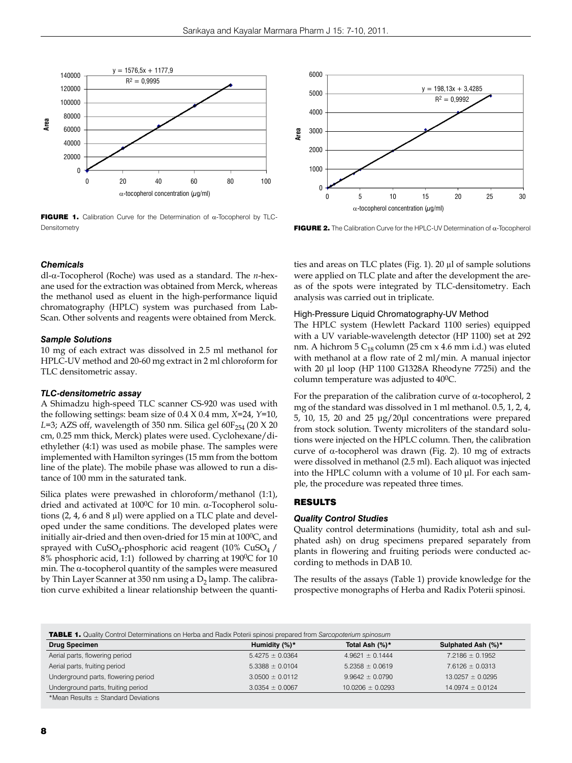

**FIGURE 1.** Calibration Curve for the Determination of  $\alpha$ -Tocopherol by TLC-**Densitometry** 



#### *Chemicals*

dl-α-Tocopherol (Roche) was used as a standard. The *n*-hexane used for the extraction was obtained from Merck, whereas the methanol used as eluent in the high-performance liquid chromatography (HPLC) system was purchased from Lab-Scan. Other solvents and reagents were obtained from Merck.

#### *Sample Solutions*

10 mg of each extract was dissolved in 2.5 ml methanol for HPLC-UV method and 20-60 mg extract in 2 ml chloroform for TLC densitometric assay.

#### *TLC-densitometric assay*

A Shimadzu high-speed TLC scanner CS-920 was used with the following settings: beam size of 0.4 X 0.4 mm, *X*=24, *Y*=10, *L*=3; AZS off, wavelength of 350 nm. Silica gel 60F<sub>254</sub> (20 X 20 cm, 0.25 mm thick, Merck) plates were used. Cyclohexane/diethylether (4:1) was used as mobile phase. The samples were implemented with Hamilton syringes (15 mm from the bottom line of the plate). The mobile phase was allowed to run a distance of 100 mm in the saturated tank.

Silica plates were prewashed in chloroform/methanol (1:1), dried and activated at  $100^{\circ}$ C for 10 min. α-Tocopherol solutions (2, 4, 6 and 8 μl) were applied on a TLC plate and developed under the same conditions. The developed plates were initially air-dried and then oven-dried for 15 min at  $100^{\circ}$ C, and sprayed with  $CuSO_4$ -phosphoric acid reagent (10%  $CuSO_4$  / 8% phosphoric acid, 1:1) followed by charring at 1900C for 10 min. The α-tocopherol quantity of the samples were measured by Thin Layer Scanner at 350 nm using a  $D<sub>2</sub>$  lamp. The calibration curve exhibited a linear relationship between the quantities and areas on TLC plates (Fig. 1). 20 μl of sample solutions were applied on TLC plate and after the development the areas of the spots were integrated by TLC-densitometry. Each analysis was carried out in triplicate.

### High-Pressure Liquid Chromatography-UV Method

The HPLC system (Hewlett Packard 1100 series) equipped with a UV variable-wavelength detector (HP 1100) set at 292 nm. A hichrom  $5 C_{18}$  column (25 cm x 4.6 mm i.d.) was eluted with methanol at a flow rate of 2 ml/min. A manual injector with 20 μl loop (HP 1100 G1328A Rheodyne 7725i) and the column temperature was adjusted to 40<sup>0</sup>C.

For the preparation of the calibration curve of  $\alpha$ -tocopherol, 2 mg of the standard was dissolved in 1 ml methanol. 0.5, 1, 2, 4, 5, 10, 15, 20 and 25 μg/20μl concentrations were prepared from stock solution. Twenty microliters of the standard solutions were injected on the HPLC column. Then, the calibration curve of α-tocopherol was drawn (Fig. 2). 10 mg of extracts were dissolved in methanol (2.5 ml). Each aliquot was injected into the HPLC column with a volume of 10 μl. For each sample, the procedure was repeated three times.

# RESULTS

#### *Quality Control Studies*

Quality control determinations (humidity, total ash and sulphated ash) on drug specimens prepared separately from plants in flowering and fruiting periods were conducted according to methods in DAB 10.

The results of the assays (Table 1) provide knowledge for the prospective monographs of Herba and Radix Poterii spinosi.

TABLE 1. Quality Control Determinations on Herba and Radix Poterii spinosi prepared from *Sarcopoterium spinosum*

| <b>The Country Country Country Country Country and Country Country Country Country Country Country Country Country</b> |                     |                      |                      |  |
|------------------------------------------------------------------------------------------------------------------------|---------------------|----------------------|----------------------|--|
| <b>Drug Specimen</b>                                                                                                   | Humidity $(%)^*$    | Total Ash (%)*       | Sulphated Ash (%)*   |  |
| Aerial parts, flowering period                                                                                         | $5.4275 \pm 0.0364$ | $4.9621 \pm 0.1444$  | $7.2186 \pm 0.1952$  |  |
| Aerial parts, fruiting period                                                                                          | $5.3388 \pm 0.0104$ | $5.2358 \pm 0.0619$  | $7.6126 \pm 0.0313$  |  |
| Underground parts, flowering period                                                                                    | $3.0500 \pm 0.0112$ | $9.9642 \pm 0.0790$  | $13.0257 \pm 0.0295$ |  |
| Underground parts, fruiting period                                                                                     | $3.0354 \pm 0.0067$ | $10.0206 \pm 0.0293$ | $14.0974 \pm 0.0124$ |  |
| *Mean Results $\pm$ Standard Deviations                                                                                |                     |                      |                      |  |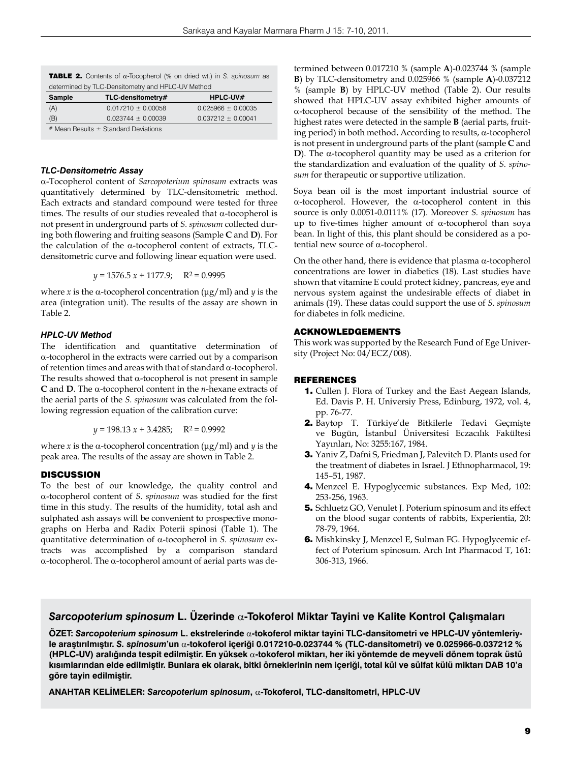| <b>TABLE 2.</b> Contents of $\alpha$ -Tocopherol (% on dried wt.) in S. spinosum as |  |
|-------------------------------------------------------------------------------------|--|
| determined by TLC-Densitometry and HPLC-UV Method                                   |  |

| Sample                                     | TLC-densitometry#      | $HPLC-UV#$             |  |
|--------------------------------------------|------------------------|------------------------|--|
| (A)                                        | $0.017210 \pm 0.00058$ | $0.025966 \pm 0.00035$ |  |
| (B)                                        | $0.023744 \pm 0.00039$ | $0.037212 \pm 0.00041$ |  |
| $*$ Mean Results $\pm$ Standard Deviations |                        |                        |  |

## *TLC-Densitometric Assay*

α-Tocopherol content of *Sarcopoterium spinosum* extracts was quantitatively determined by TLC-densitometric method. Each extracts and standard compound were tested for three times. The results of our studies revealed that α-tocopherol is not present in underground parts of *S. spinosum* collected during both flowering and fruiting seasons (Sample **C** and **D**). For the calculation of the α-tocopherol content of extracts, TLCdensitometric curve and following linear equation were used.

$$
y = 1576.5 x + 1177.9
$$
;  $R^2 = 0.9995$ 

where *x* is the  $\alpha$ -tocopherol concentration ( $\mu$ g/ml) and *y* is the area (integration unit). The results of the assay are shown in Table 2.

# *HPLC-UV Method*

The identification and quantitative determination of α-tocopherol in the extracts were carried out by a comparison of retention times and areas with that of standard α-tocopherol. The results showed that  $\alpha$ -tocopherol is not present in sample **C** and **D**. The α-tocopherol content in the *n*-hexane extracts of the aerial parts of the *S. spinosum* was calculated from the following regression equation of the calibration curve:

*y* = 198.13 *x* + 3.4285; R2 = 0.9992

where *x* is the  $\alpha$ -tocopherol concentration ( $\mu$ g/ml) and *y* is the peak area. The results of the assay are shown in Table 2.

# **DISCUSSION**

To the best of our knowledge, the quality control and α-tocopherol content of *S. spinosum* was studied for the first time in this study. The results of the humidity, total ash and sulphated ash assays will be convenient to prospective monographs on Herba and Radix Poterii spinosi (Table 1). The quantitative determination of α-tocopherol in *S. spinosum* extracts was accomplished by a comparison standard α-tocopherol. The α-tocopherol amount of aerial parts was determined between 0.017210 % (sample **A**)-0.023744 % (sample **B**) by TLC-densitometry and 0.025966 % (sample **A**)-0.037212 % (sample **B**) by HPLC-UV method (Table 2). Our results showed that HPLC-UV assay exhibited higher amounts of α-tocopherol because of the sensibility of the method. The highest rates were detected in the sample **B** (aerial parts, fruiting period) in both method**.** According to results, α-tocopherol is not present in underground parts of the plant (sample **C** and **D**). The α-tocopherol quantity may be used as a criterion for the standardization and evaluation of the quality of *S. spinosum* for therapeutic or supportive utilization.

Soya bean oil is the most important industrial source of α-tocopherol. However, the α-tocopherol content in this source is only 0.0051-0.0111% (17). Moreover *S. spinosum* has up to five-times higher amount of  $\alpha$ -tocopherol than soya bean. In light of this, this plant should be considered as a potential new source of α-tocopherol.

On the other hand, there is evidence that plasma  $\alpha$ -tocopherol concentrations are lower in diabetics (18). Last studies have shown that vitamine E could protect kidney, pancreas, eye and nervous system against the undesirable effects of diabet in animals (19). These datas could support the use of *S. spinosum*  for diabetes in folk medicine.

# ACKNOWLEDGEMENTS

This work was supported by the Research Fund of Ege University (Project No: 04/ECZ/008).

# REFERENCES

- 1. Cullen J. Flora of Turkey and the East Aegean Islands, Ed. Davis P. H. Universiy Press, Edinburg, 1972, vol. 4, pp. 76-77.
- 2. Baytop T. Türkiye'de Bitkilerle Tedavi Geçmişte ve Bugün, İstanbul Üniversitesi Eczacılık Fakültesi Yayınları, No: 3255:167, 1984.
- 3. Yaniv Z, Dafni S, Friedman J, Palevitch D. Plants used for the treatment of diabetes in Israel. J Ethnopharmacol, 19: 145–51, 1987.
- 4. Menzcel E. Hypoglycemic substances. Exp Med, 102: 253-256, 1963.
- 5. Schluetz GO, Venulet J. Poterium spinosum and its effect on the blood sugar contents of rabbits, Experientia, 20: 78-79, 1964.
- 6. Mishkinsky J, Menzcel E, Sulman FG. Hypoglycemic effect of Poterium spinosum. Arch Int Pharmacod T, 161: 306-313, 1966.

# *Sarcopoterium spinosum* **L. Üzerinde** α**-Tokoferol Miktar Tayini ve Kalite Kontrol Çalışmaları**

**ÖZET:** *Sarcopoterium spinosum* **L. ekstrelerinde** α**-tokoferol miktar tayini TLC-dansitometri ve HPLC-UV yöntemleriyle araştırılmıştır.** *S. spinosum***'un** α**-tokoferol içeriği 0.017210-0.023744 % (TLC-dansitometri) ve 0.025966-0.037212 % (HPLC-UV) aralığında tespit edilmiştir. En yüksek** α**-tokoferol miktarı, her iki yöntemde de meyveli dönem toprak üstü kısımlarından elde edilmiştir. Bunlara ek olarak, bitki örneklerinin nem içeriği, total kül ve sülfat külü miktarı DAB 10'a göre tayin edilmiştir.**

**ANAHTAR KELİMELER:** *Sarcopoterium spinosum***,** α**-Tokoferol, TLC-dansitometri, HPLC-UV**